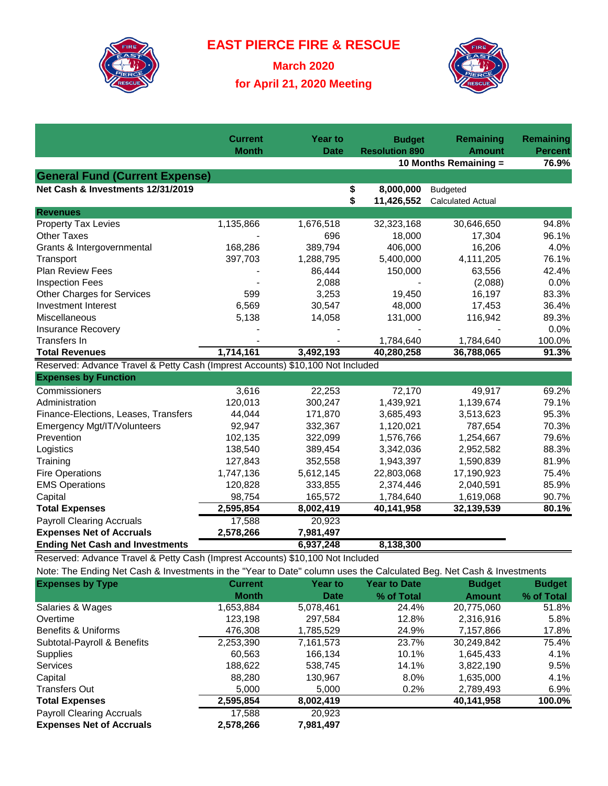

**EAST PIERCE FIRE & RESCUE**

**March 2020 for April 21, 2020 Meeting**



|                                                                                                                      | <b>Current</b> | <b>Year to</b> |          | <b>Budget</b>         | <b>Remaining</b><br><b>Amount</b>           | <b>Remaining</b> |
|----------------------------------------------------------------------------------------------------------------------|----------------|----------------|----------|-----------------------|---------------------------------------------|------------------|
|                                                                                                                      | <b>Month</b>   | <b>Date</b>    |          | <b>Resolution 890</b> | <b>Percent</b><br>76.9%                     |                  |
|                                                                                                                      |                |                |          |                       | 10 Months Remaining =                       |                  |
| <b>General Fund (Current Expense)</b><br>Net Cash & Investments 12/31/2019                                           |                |                |          | 8,000,000             |                                             |                  |
|                                                                                                                      |                |                | \$<br>\$ | 11,426,552            | <b>Budgeted</b><br><b>Calculated Actual</b> |                  |
| <b>Revenues</b>                                                                                                      |                |                |          |                       |                                             |                  |
| Property Tax Levies                                                                                                  | 1,135,866      | 1,676,518      |          | 32,323,168            | 30,646,650                                  | 94.8%            |
| <b>Other Taxes</b>                                                                                                   |                | 696            |          | 18,000                | 17,304                                      | 96.1%            |
| Grants & Intergovernmental                                                                                           | 168,286        | 389,794        |          | 406,000               | 16,206                                      | 4.0%             |
| Transport                                                                                                            | 397,703        | 1,288,795      |          | 5,400,000             | 4,111,205                                   | 76.1%            |
| <b>Plan Review Fees</b>                                                                                              |                | 86,444         |          | 150,000               | 63,556                                      | 42.4%            |
| <b>Inspection Fees</b>                                                                                               |                | 2,088          |          |                       | (2,088)                                     | 0.0%             |
| Other Charges for Services                                                                                           | 599            | 3,253          |          | 19,450                | 16,197                                      | 83.3%            |
| <b>Investment Interest</b>                                                                                           | 6,569          | 30,547         |          | 48,000                | 17,453                                      | 36.4%            |
| Miscellaneous                                                                                                        | 5,138          | 14,058         |          | 131,000               | 116,942                                     | 89.3%            |
| <b>Insurance Recovery</b>                                                                                            |                |                |          |                       |                                             | 0.0%             |
| <b>Transfers In</b>                                                                                                  |                |                |          | 1,784,640             | 1,784,640                                   | 100.0%           |
| <b>Total Revenues</b>                                                                                                | 1,714,161      | 3,492,193      |          | 40,280,258            | 36,788,065                                  | 91.3%            |
| Reserved: Advance Travel & Petty Cash (Imprest Accounts) \$10,100 Not Included                                       |                |                |          |                       |                                             |                  |
| <b>Expenses by Function</b>                                                                                          |                |                |          |                       |                                             |                  |
| Commissioners                                                                                                        | 3,616          | 22,253         |          | 72,170                | 49,917                                      | 69.2%            |
| Administration                                                                                                       | 120,013        | 300,247        |          | 1,439,921             | 1,139,674                                   | 79.1%            |
| Finance-Elections, Leases, Transfers                                                                                 | 44,044         | 171,870        |          | 3,685,493             | 3,513,623                                   | 95.3%            |
| Emergency Mgt/IT/Volunteers                                                                                          | 92,947         | 332,367        |          | 1,120,021             | 787,654                                     | 70.3%            |
| Prevention                                                                                                           | 102,135        | 322,099        |          | 1,576,766             | 1,254,667                                   | 79.6%            |
| Logistics                                                                                                            | 138,540        | 389,454        |          | 3,342,036             | 2,952,582                                   | 88.3%            |
| Training                                                                                                             | 127,843        | 352,558        |          | 1,943,397             | 1,590,839                                   | 81.9%            |
| <b>Fire Operations</b>                                                                                               | 1,747,136      | 5,612,145      |          | 22,803,068            | 17,190,923                                  | 75.4%            |
| <b>EMS Operations</b>                                                                                                | 120,828        | 333,855        |          | 2,374,446             | 2,040,591                                   | 85.9%            |
| Capital                                                                                                              | 98,754         | 165,572        |          | 1,784,640             | 1,619,068                                   | 90.7%            |
| <b>Total Expenses</b>                                                                                                | 2,595,854      | 8,002,419      |          | 40,141,958            | 32,139,539                                  | 80.1%            |
| <b>Payroll Clearing Accruals</b>                                                                                     | 17,588         | 20,923         |          |                       |                                             |                  |
| <b>Expenses Net of Accruals</b>                                                                                      | 2,578,266      | 7,981,497      |          |                       |                                             |                  |
| <b>Ending Net Cash and Investments</b>                                                                               |                | 6,937,248      |          | 8,138,300             |                                             |                  |
| Reserved: Advance Travel & Petty Cash (Imprest Accounts) \$10,100 Not Included                                       |                |                |          |                       |                                             |                  |
| Note: The Ending Net Cash & Investments in the "Year to Date" column uses the Calculated Beg. Net Cash & Investments |                |                |          |                       |                                             |                  |
| <b>Expenses by Type</b>                                                                                              | <b>Current</b> | <b>Year to</b> |          | <b>Year to Date</b>   | <b>Budget</b>                               | <b>Budget</b>    |
|                                                                                                                      | <b>Month</b>   | <b>Date</b>    |          | % of Total            | <b>Amount</b>                               | % of Total       |
| Salaries & Wages                                                                                                     | 1,653,884      | 5,078,461      |          | 24.4%                 | 20,775,060                                  | 51.8%            |
| Overtime                                                                                                             | 123,198        | 297,584        |          | 12.8%                 | 2,316,916                                   | 5.8%             |
| Benefits & Uniforms                                                                                                  | 476,308        | 1,785,529      |          | 24.9%                 | 7,157,866                                   | 17.8%            |

Subtotal-Payroll & Benefits 2,253,390 7,161,573 23.7% 30,249,842 75.4% Supplies 60,563 166,134 10.1% 1,645,433 4.1% Services 188,622 538,745 14.1% 3,822,190 9.5% Capital 88,280 130,967 8.0% 1,635,000 4.1% Transfers Out 5,000 5,000 0.2% 2,789,493 6.9% **Total Expenses 2,595,854 8,002,419 40,141,958 100.0%**

Payroll Clearing Accruals 17,588 20,923 **Expenses Net of Accruals 2,578,266 7,981,497**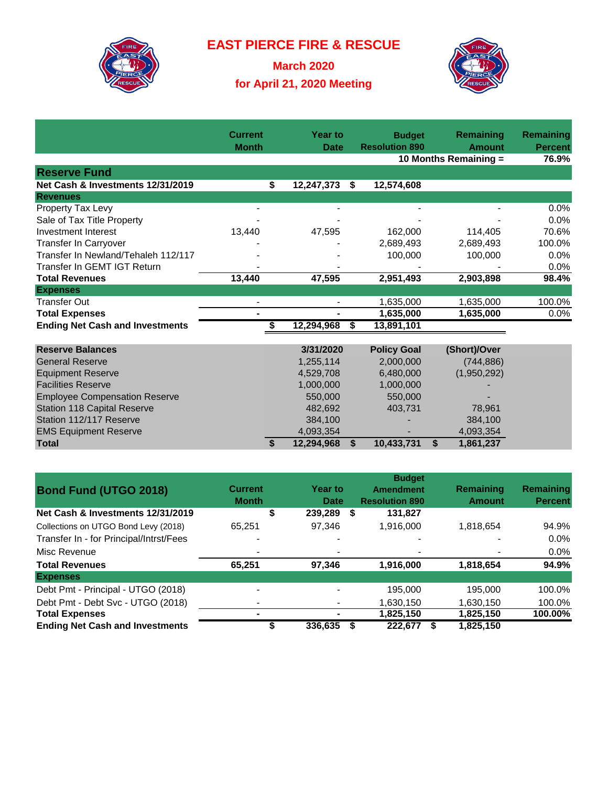

**EAST PIERCE FIRE & RESCUE**

**March 2020 for April 21, 2020 Meeting**



|                                        | <b>Current</b><br><b>Month</b> |    | <b>Year to</b><br><b>Date</b> |    | <b>Budget</b><br><b>Resolution 890</b> |    | <b>Remaining</b><br><b>Amount</b> | Remaining<br><b>Percent</b> |
|----------------------------------------|--------------------------------|----|-------------------------------|----|----------------------------------------|----|-----------------------------------|-----------------------------|
|                                        |                                |    |                               |    | 10 Months Remaining =                  |    |                                   | 76.9%                       |
| <b>Reserve Fund</b>                    |                                |    |                               |    |                                        |    |                                   |                             |
| Net Cash & Investments 12/31/2019      |                                | \$ | 12,247,373                    | \$ | 12,574,608                             |    |                                   |                             |
| <b>Revenues</b>                        |                                |    |                               |    |                                        |    |                                   |                             |
| Property Tax Levy                      |                                |    |                               |    |                                        |    |                                   | $0.0\%$                     |
| Sale of Tax Title Property             |                                |    |                               |    |                                        |    |                                   | 0.0%                        |
| <b>Investment Interest</b>             | 13,440                         |    | 47,595                        |    | 162,000                                |    | 114,405                           | 70.6%                       |
| Transfer In Carryover                  |                                |    |                               |    | 2,689,493                              |    | 2,689,493                         | 100.0%                      |
| Transfer In Newland/Tehaleh 112/117    |                                |    |                               |    | 100,000                                |    | 100,000                           | 0.0%                        |
| Transfer In GEMT IGT Return            |                                |    |                               |    |                                        |    |                                   | 0.0%                        |
| <b>Total Revenues</b>                  | 13,440                         |    | 47,595                        |    | 2,951,493                              |    | 2,903,898                         | 98.4%                       |
| <b>Expenses</b>                        |                                |    |                               |    |                                        |    |                                   |                             |
| <b>Transfer Out</b>                    |                                |    |                               |    | 1,635,000                              |    | 1,635,000                         | 100.0%                      |
| <b>Total Expenses</b>                  |                                |    |                               |    | 1,635,000                              |    | 1,635,000                         | 0.0%                        |
| <b>Ending Net Cash and Investments</b> |                                |    | 12,294,968                    | S  | 13,891,101                             |    |                                   |                             |
|                                        |                                |    |                               |    |                                        |    |                                   |                             |
| <b>Reserve Balances</b>                |                                |    | 3/31/2020                     |    | <b>Policy Goal</b>                     |    | (Short)/Over                      |                             |
| <b>General Reserve</b>                 |                                |    | 1,255,114                     |    | 2,000,000                              |    | (744, 886)                        |                             |
| <b>Equipment Reserve</b>               |                                |    | 4,529,708                     |    | 6,480,000                              |    | (1,950,292)                       |                             |
| <b>Facilities Reserve</b>              |                                |    | 1,000,000                     |    | 1,000,000                              |    |                                   |                             |
| <b>Employee Compensation Reserve</b>   |                                |    | 550,000                       |    | 550,000                                |    |                                   |                             |
| <b>Station 118 Capital Reserve</b>     |                                |    | 482,692                       |    | 403,731                                |    | 78,961                            |                             |
| Station 112/117 Reserve                |                                |    | 384,100                       |    |                                        |    | 384,100                           |                             |
| <b>EMS Equipment Reserve</b>           |                                |    | 4,093,354                     |    |                                        |    | 4,093,354                         |                             |
| <b>Total</b>                           |                                | S  | 12,294,968                    | \$ | 10,433,731                             | \$ | 1,861,237                         |                             |
|                                        |                                |    |                               |    |                                        |    |                                   |                             |
|                                        |                                |    |                               |    | <b>Rudoot</b>                          |    |                                   |                             |

| <b>Bond Fund (UTGO 2018)</b>            | <b>Current</b><br><b>Month</b> | <b>Year to</b><br>Date | <b>Budget</b><br><b>Amendment</b><br><b>Resolution 890</b> | Remaining<br><b>Amount</b> | Remaining<br><b>Percent</b> |
|-----------------------------------------|--------------------------------|------------------------|------------------------------------------------------------|----------------------------|-----------------------------|
| Net Cash & Investments 12/31/2019       | \$                             | 239,289 \$             | 131,827                                                    |                            |                             |
| Collections on UTGO Bond Levy (2018)    | 65.251                         | 97.346                 | 1,916,000                                                  | 1,818,654                  | 94.9%                       |
| Transfer In - for Principal/Intrst/Fees | -                              |                        |                                                            |                            | $0.0\%$                     |
| Misc Revenue                            | ۰                              |                        | $\overline{\phantom{0}}$                                   | $\overline{\phantom{a}}$   | $0.0\%$                     |
| <b>Total Revenues</b>                   | 65.251                         | 97,346                 | 1,916,000                                                  | 1,818,654                  | 94.9%                       |
| <b>Expenses</b>                         |                                |                        |                                                            |                            |                             |
| Debt Pmt - Principal - UTGO (2018)      | -                              |                        | 195,000                                                    | 195.000                    | 100.0%                      |
| Debt Pmt - Debt Svc - UTGO (2018)       |                                |                        | 1,630,150                                                  | 1,630,150                  | 100.0%                      |
| <b>Total Expenses</b>                   | ۰                              |                        | 1,825,150                                                  | 1,825,150                  | 100.00%                     |
| <b>Ending Net Cash and Investments</b>  |                                | 336,635                | 222.677                                                    | 1,825,150                  |                             |